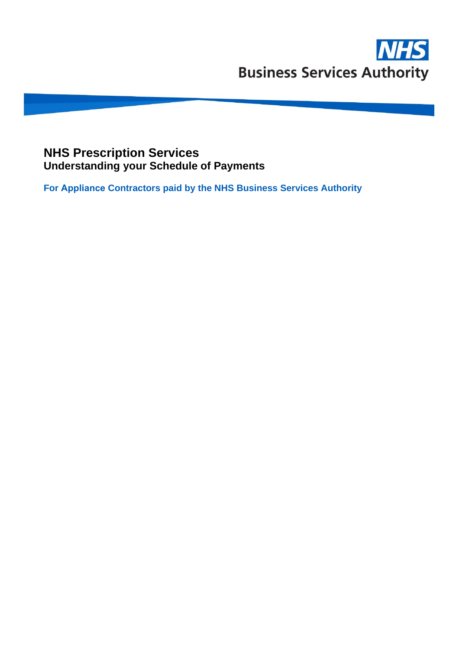## **NHS Prescription Services Understanding your Schedule of Payments**

**For Appliance Contractors paid by the NHS Business Services Authority**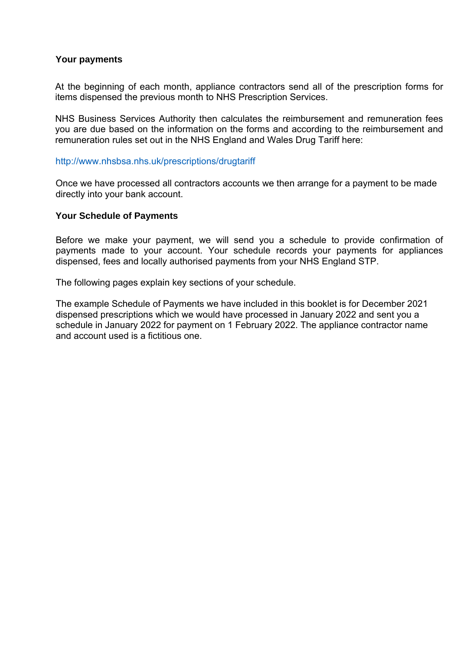#### **Your payments**

At the beginning of each month, appliance contractors send all of the prescription forms for items dispensed the previous month to NHS Prescription Services.

NHS Business Services Authority then calculates the reimbursement and remuneration fees you are due based on the information on the forms and according to the reimbursement and remuneration rules set out in the NHS England and Wales Drug Tariff here:

#### <http://www.nhsbsa.nhs.uk/prescriptions/drugtariff>

Once we have processed all contractors accounts we then arrange for a payment to be made directly into your bank account.

#### **Your Schedule of Payments**

Before we make your payment, we will send you a schedule to provide confirmation of payments made to your account. Your schedule records your payments for appliances [dispensed, fees and locally authorised payments from your NHS England STP.](http://www.nhsbsa.nhs.uk/pharmacies-gp-practices-and-appliance-contractors/dispensing-) 

The following pages explain key sections of your schedule.

The example Schedule of Payments we have included in this booklet is for December 2021 dispensed prescriptions which we would have processed in January 2022 and sent you a schedule in January 2022 for payment on 1 February 2022. The appliance contractor name and account used is a fictitious one.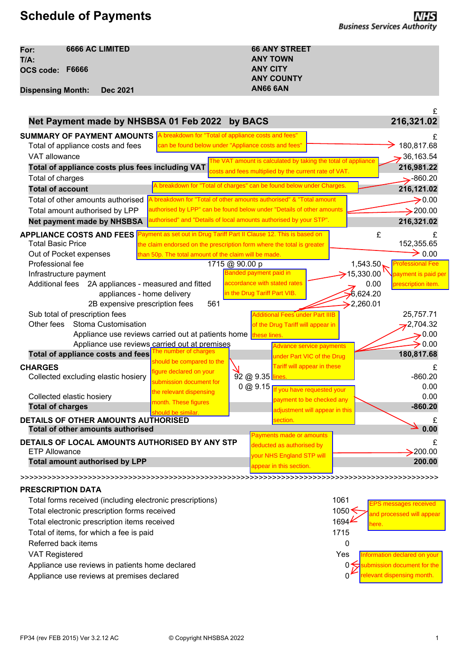# **Schedule of Payments**

| For:                     | <b>6666 AC LIMITED</b> | <b>66 ANY STREET</b> |
|--------------------------|------------------------|----------------------|
| T/A:                     |                        | <b>ANY TOWN</b>      |
| OCS code: F6666          |                        | <b>ANY CITY</b>      |
|                          |                        | <b>ANY COUNTY</b>    |
| <b>Dispensing Month:</b> | <b>Dec 2021</b>        | <b>AN66 6AN</b>      |

|                                                                 |                                                                        |                              |                                                               |                         | £                            |
|-----------------------------------------------------------------|------------------------------------------------------------------------|------------------------------|---------------------------------------------------------------|-------------------------|------------------------------|
| Net Payment made by NHSBSA 01 Feb 2022 by BACS                  |                                                                        |                              |                                                               |                         | 216,321.02                   |
| <b>SUMMARY OF PAYMENT AMOUNTS</b>                               | A breakdown for "Total of appliance costs and fees"                    |                              |                                                               |                         |                              |
| Total of appliance costs and fees                               | can be found below under "Appliance costs and fees'                    |                              |                                                               |                         | 180,817.68                   |
| VAT allowance                                                   |                                                                        |                              | The VAT amount is calculated by taking the total of appliance |                         | 36,163.54                    |
| Total of appliance costs plus fees including VAT                |                                                                        |                              | costs and fees multiplied by the current rate of VAT.         |                         | 216,981.22                   |
| Total of charges                                                |                                                                        |                              |                                                               |                         | $\rightarrow$ 860.20         |
| <b>Total of account</b>                                         | A breakdown for "Total of charges" can be found below under Charges.   |                              |                                                               |                         | 216,121.02                   |
| Total of other amounts authorised                               | A breakdown for "Total of other amounts authorised" & "Total amount    |                              |                                                               |                         | $\rightarrow 0.00$           |
| Total amount authorised by LPP                                  | authorised by LPP" can be found below under "Details of other amounts  |                              |                                                               |                         | $\rightarrow$ 200.00         |
| <b>Net payment made by NHSBSA</b>                               | authorised" and "Details of local amounts authorised by your STP".     |                              |                                                               |                         | 216,321.02                   |
| <b>APPLIANCE COSTS AND FEES</b>                                 | Payment as set out in Drug Tariff Part II Clause 12. This is based on  |                              |                                                               | £                       | £                            |
| Total Basic Price                                               | the claim endorsed on the prescription form where the total is greater |                              |                                                               |                         | 152,355.65                   |
| Out of Pocket expenses                                          | than 50p. The total amount of the claim will be made.                  |                              |                                                               |                         | $\rightarrow$ 0.00           |
| Professional fee                                                |                                                                        | 1715 @ 90.00 p               |                                                               | 1,543.50                | <b>Professional Fee</b>      |
| Infrastructure payment                                          |                                                                        | Banded payment paid in       |                                                               | $\rightarrow$ 15,330.00 | payment is paid per          |
| Additional fees 2A appliances - measured and fitted             |                                                                        | accordance with stated rates |                                                               | 0.00                    | prescription item.           |
| appliances - home delivery                                      |                                                                        | in the Drug Tariff Part VIB. |                                                               | 6,624.20                |                              |
| 2B expensive prescription fees                                  | 561                                                                    |                              |                                                               | $\geq$ 2,260.01         |                              |
| Sub total of prescription fees                                  |                                                                        |                              | Additional Fees under Part IIIB                               |                         | 25,757.71                    |
| Other fees<br>Stoma Customisation                               |                                                                        |                              | of the Drug Tariff will appear in                             |                         | 2,704.32                     |
| Appliance use reviews carried out at patients home these lines. |                                                                        |                              |                                                               |                         | $\rightarrow$ 0.00           |
| Appliance use reviews carried out at premises                   | he number of charges                                                   |                              | Advance service payments                                      |                         | $\rightarrow$ 0.00           |
| Total of appliance costs and fees                               | should be compared to the                                              |                              | under Part VIC of the Drug                                    |                         | 180,817.68                   |
| <b>CHARGES</b>                                                  | figure declared on your                                                |                              | Tariff will appear in these                                   |                         | £                            |
| Collected excluding elastic hosiery                             | submission document for                                                | 92 @ 9.35 lines              |                                                               |                         | $-860.20$                    |
|                                                                 | the relevant dispensing                                                | 0 @ 9.15                     | f you have requested your                                     |                         | 0.00                         |
| Collected elastic hosiery                                       | month. These figures                                                   |                              | payment to be checked any                                     |                         | 0.00                         |
| <b>Total of charges</b>                                         | should be similar.                                                     |                              | adjustment will appear in this                                |                         | $-860.20$                    |
| DETAILS OF OTHER AMOUNTS AUTHORISED                             |                                                                        |                              | section.                                                      |                         |                              |
| <b>Total of other amounts authorised</b>                        |                                                                        |                              | Payments made or amounts                                      |                         | 0.00                         |
| DETAILS OF LOCAL AMOUNTS AUTHORISED BY ANY STP                  |                                                                        |                              | deducted as authorised by                                     |                         | £                            |
| <b>ETP Allowance</b>                                            |                                                                        |                              | your NHS England STP will                                     |                         | $\blacktriangleright$ 200.00 |
| <b>Total amount authorised by LPP</b>                           |                                                                        |                              | appear in this section.                                       |                         | 200.00                       |
|                                                                 |                                                                        |                              |                                                               |                         |                              |

#### **PRESCRIPTION DATA**

| Total forms received (including electronic prescriptions)<br>Total electronic prescription forms received<br>Total electronic prescription items received | 1061<br><b>EPS</b> messages received<br>1050 <sup>1</sup><br>and processed will appear<br>1694 <b>⊬</b> |
|-----------------------------------------------------------------------------------------------------------------------------------------------------------|---------------------------------------------------------------------------------------------------------|
| Total of items, for which a fee is paid<br>Referred back items                                                                                            | ere.<br>1715                                                                                            |
| <b>VAT Registered</b><br>Appliance use reviews in patients home declared<br>Appliance use reviews at premises declared                                    | Yes<br>Information declared on your<br>bmission document for the<br>0₩<br>relevant dispensing month.    |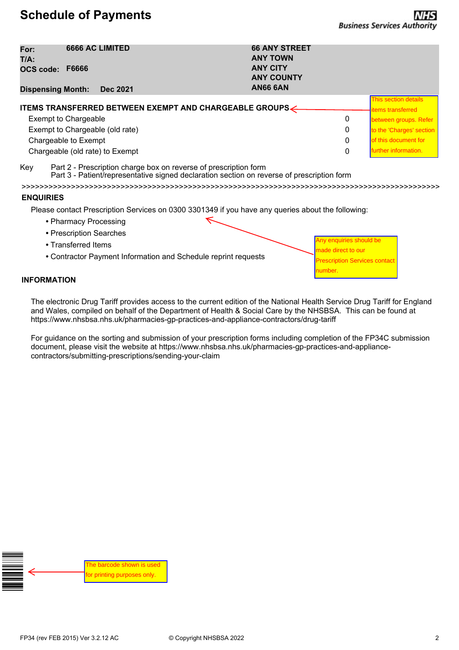# **Schedule of Payments**

Any enquiries should be made direct to our

number.

**Prescription Services contact** 

| For:<br>T/A:                |              | <b>6666 AC LIMITED</b>          |                                                               | <b>66 ANY STREET</b><br><b>ANY TOWN</b> |   |                          |
|-----------------------------|--------------|---------------------------------|---------------------------------------------------------------|-----------------------------------------|---|--------------------------|
| OCS code:                   | <b>F6666</b> |                                 |                                                               | <b>ANY CITY</b><br><b>ANY COUNTY</b>    |   |                          |
| <b>Dispensing Month:</b>    |              | <b>Dec 2021</b>                 |                                                               | <b>AN66 6AN</b>                         |   |                          |
|                             |              |                                 |                                                               |                                         |   | This section details     |
|                             |              |                                 | <b>ITEMS TRANSFERRED BETWEEN EXEMPT AND CHARGEABLE GROUPS</b> |                                         |   | <b>items transferred</b> |
| <b>Exempt to Chargeable</b> |              |                                 |                                                               |                                         | 0 | between groups. Refer    |
|                             |              | Exempt to Chargeable (old rate) |                                                               |                                         | 0 | to the 'Charges' section |
| Chargeable to Exempt        |              |                                 |                                                               |                                         | 0 | of this document for     |
|                             |              | Chargeable (old rate) to Exempt |                                                               |                                         | 0 | further information.     |

Key Part 2 - Prescription charge box on reverse of prescription form

Part 3 - Patient/representative signed declaration section on reverse of prescription form

>>>>>>>>>>>>>>>>>>>>>>>>>>>>>>>>>>>>>>>>>>>>>>>>>>>>>>>>>>>>>>>>>>>>>>>>>>>>>>>>>>>>>>>>>>>>>

#### **ENQUIRIES**

Please contact Prescription Services on 0300 3301349 if you have any queries about the following:

- **•** Pharmacy Processing
- **•** Prescription Searches
- **•** Transferred Items
- **•** Contractor Payment Information and Schedule reprint requests

**INFORMATION**

The electronic Drug Tariff provides access to the current edition of the National Health Service Drug Tariff for England and Wales, compiled on behalf of the Department of Health & Social Care by the NHSBSA. This can be found at https://www.nhsbsa.nhs.uk/pharmacies-gp-practices-and-appliance-contractors/drug-tariff

For guidance on the sorting and submission of your prescription forms including completion of the FP34C submission document, please visit the website at https://www.nhsbsa.nhs.uk/pharmacies-gp-practices-and-appliancecontractors/submitting-prescriptions/sending-your-claim

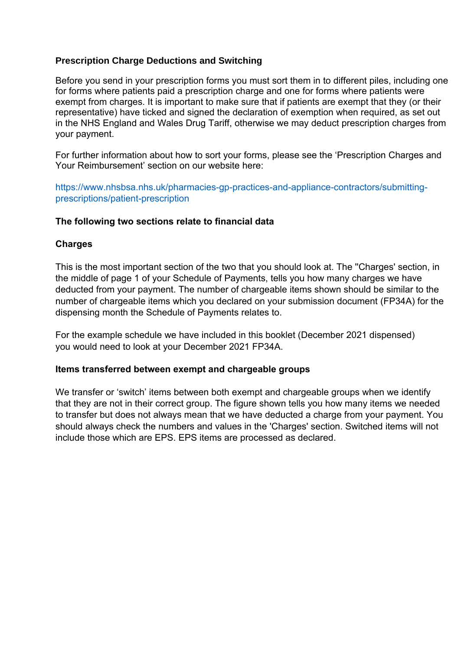## **Prescription Charge Deductions and Switching**

Before you send in your prescription forms you must sort them in to different piles, including one for forms where patients paid a prescription charge and one for forms where patients were exempt from charges. It is important to make sure that if patients are exempt that they (or their representative) have ticked and signed the declaration of exemption when required, as set out in the NHS England and Wales Drug Tariff, otherwise we may deduct prescription charges from your payment.

For further information about how to sort your forms, please see the 'Prescription Charges and Your Reimbursement' section on our website here:

https://www.nhsbsa.nhs.uk/pharmacies-gp-practices-and-appliance-contractors/submittingprescriptions/patient-prescription

#### **The following two sections relate to financial data**

### **Charges**

This is the most important section of the two that you should look at. The ''Charges' section, in the middle of page 1 of your Schedule of Payments, tells you how many charges we have deducted from your payment. The number of chargeable items shown should be similar to the [number of chargeable items which you declared on your submission document \(FP34A\) for the](https://www.nhsbsa.nhs.uk/pharmacies-gp-practices-and-appliance-contractors/submitting-prescriptions/patient-prescription) dispensing month the Schedule of Payments relates to.

[For the example schedule we have included in this booklet \(December](http://www.nhsbsa.nhs.uk/pharmacies-gp-practices-and-appliance-contractors/submitting-) 2021 dispensed) you would need to look at your December 2021 FP34A.

#### **Items transferred between exempt and chargeable groups**

We transfer or 'switch' items between both exempt and chargeable groups when we identify that they are not in their correct group. The figure shown tells you how many items we needed to transfer but does not always mean that we have deducted a charge from your payment. You should always check the numbers and values in the 'Charges' section. Switched items will not include those which are EPS. EPS items are processed as declared.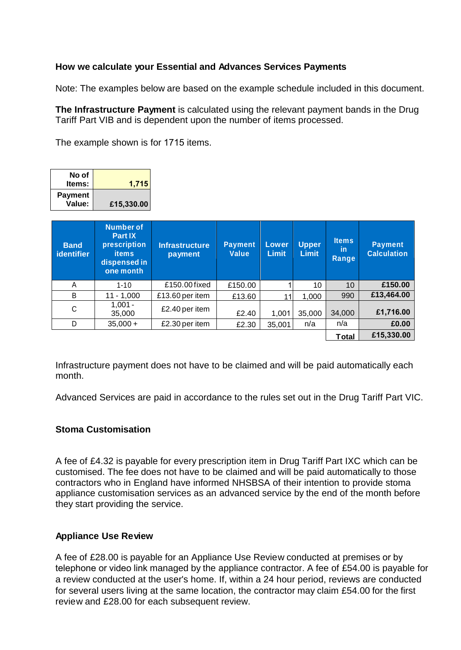## **How we calculate your Essential and Advances Services Payments**

Note: The examples below are based on the example schedule included in this document.

**The Infrastructure Payment** is calculated using the relevant payment bands in the Drug Tariff Part VIB and is dependent upon the number of items processed.

The example shown is for 1715 items.

| No of<br>Items:          | 1,715      |
|--------------------------|------------|
| <b>Payment</b><br>Value: | £15,330.00 |

| <b>Band</b><br>identifier | <b>Number of</b><br><b>Part IX</b><br>prescription<br><b>items</b><br>dispensed in<br>one month | <b>Infrastructure</b><br>payment | <b>Payment</b><br>Value | Lower<br><b>Limit</b> | <b>Upper</b><br><b>Limit</b> | <b>Items</b><br><b>in</b><br>Range | <b>Payment</b><br><b>Calculation</b> |
|---------------------------|-------------------------------------------------------------------------------------------------|----------------------------------|-------------------------|-----------------------|------------------------------|------------------------------------|--------------------------------------|
| A                         | $1 - 10$                                                                                        | £150.00 fixed                    | £150.00                 |                       | 10                           | 10                                 | £150.00                              |
| B                         | $11 - 1,000$                                                                                    | £13.60 per item                  | £13.60                  |                       | 1,000                        | 990                                | £13,464.00                           |
| C                         | $1.001 -$<br>35,000                                                                             | £2.40 per item                   | £2.40                   | 1,001                 | 35,000                       | 34,000                             | £1,716.00                            |
| D                         | $35,000 +$                                                                                      | £2.30 per item                   | £2.30                   | 35,001                | n/a                          | n/a                                | £0.00                                |
|                           |                                                                                                 |                                  |                         |                       |                              | Total                              | £15,330.00                           |

Infrastructure payment does not have to be claimed and will be paid automatically each month.

Advanced Services are paid in accordance to the rules set out in the Drug Tariff Part VIC.

### **Stoma Customisation**

A fee of £4.32 is payable for every prescription item in Drug Tariff Part IXC which can be customised. The fee does not have to be claimed and will be paid automatically to those contractors who in England have informed NHSBSA of their intention to provide stoma appliance customisation services as an advanced service by the end of the month before they start providing the service.

#### **Appliance Use Review**

A fee of £28.00 is payable for an Appliance Use Review conducted at premises or by telephone or video link managed by the appliance contractor. A fee of £54.00 is payable for a review conducted at the user's home. If, within a 24 hour period, reviews are conducted for several users living at the same location, the contractor may claim £54.00 for the first review and £28.00 for each subsequent review.